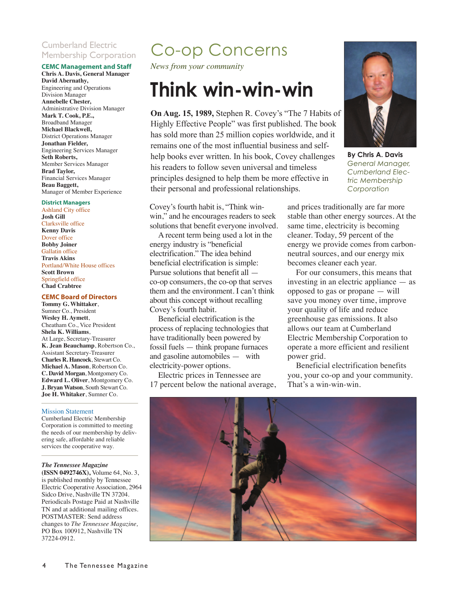### Cumberland Electric Membership Corporation

### **CEMC Management and Staff**

**Chris A. Davis, General Manager David Abernathy,** Engineering and Operations Division Manager **Annebelle Chester,** Administrative Division Manager **Mark T. Cook, P.E.,** Broadband Manager **Michael Blackwell,** District Operations Manager **Jonathan Fielder,**  Engineering Services Manager **Seth Roberts,** Member Services Manager **Brad Taylor,**  Financial Services Manager **Beau Baggett,**  Manager of Member Experience

#### **District Managers**

Ashland City office **Josh Gill** Clarksville office **Kenny Davis** Dover office **Bobby Joiner** Gallatin office **Travis Akins** Portland/White House offices **Scott Brown** Springfield office **Chad Crabtree**

#### **CEMC Board of Directors**

**Tommy G. Whittaker**, Sumner Co., President **Wesley H. Aymett**, Cheatham Co., Vice President **Shela K. Williams**, At Large, Secretary-Treasurer **K. Jean Beauchamp**, Robertson Co., Assistant Secretary-Treasurer **Charles R. Hancock**, Stewart Co. **Michael A. Mason**, Robertson Co. **C. David Morgan**, Montgomery Co. **Edward L. Oliver**, Montgomery Co. **J. Bryan Watson**, South Stewart Co. **Joe H. Whitaker**, Sumner Co.

#### Mission Statement

Cumberland Electric Membership Corporation is committed to meeting the needs of our membership by delivering safe, affordable and reliable services the cooperative way.

*The Tennessee Magazine* **(ISSN 0492746X),** Volume 64, No. 3,

is published monthly by Tennessee Electric Cooperative Association, 2964 Sidco Drive, Nashville TN 37204. Periodicals Postage Paid at Nashville TN and at additional mailing offices. POSTMASTER: Send address changes to *The Tennessee Magazine,* PO Box 100912, Nashville TN 37224-0912.

### Co-op Concerns

*News from your community*

## **Think win-win-win**

**On Aug. 15, 1989,** Stephen R. Covey's "The 7 Habits of Highly Effective People" was first published. The book has sold more than 25 million copies worldwide, and it remains one of the most influential business and selfhelp books ever written. In his book, Covey challenges his readers to follow seven universal and timeless principles designed to help them be more effective in their personal and professional relationships.

Covey's fourth habit is, "Think winwin," and he encourages readers to seek solutions that benefit everyone involved.

A recent term being used a lot in the energy industry is "beneficial electrification." The idea behind beneficial electrification is simple: Pursue solutions that benefit all co-op consumers, the co-op that serves them and the environment. I can't think about this concept without recalling Covey's fourth habit.

Beneficial electrification is the process of replacing technologies that have traditionally been powered by fossil fuels — think propane furnaces and gasoline automobiles — with electricity-power options.

Electric prices in Tennessee are 17 percent below the national average,



**By Chris A. Davis** *General Manager, Cumberland Electric Membership Corporation*

and prices traditionally are far more stable than other energy sources. At the same time, electricity is becoming cleaner. Today, 59 percent of the energy we provide comes from carbonneutral sources, and our energy mix becomes cleaner each year.

For our consumers, this means that investing in an electric appliance — as opposed to gas or propane — will save you money over time, improve your quality of life and reduce greenhouse gas emissions. It also allows our team at Cumberland Electric Membership Corporation to operate a more efficient and resilient power grid.

Beneficial electrification benefits you, your co-op and your community. That's a win-win-win.

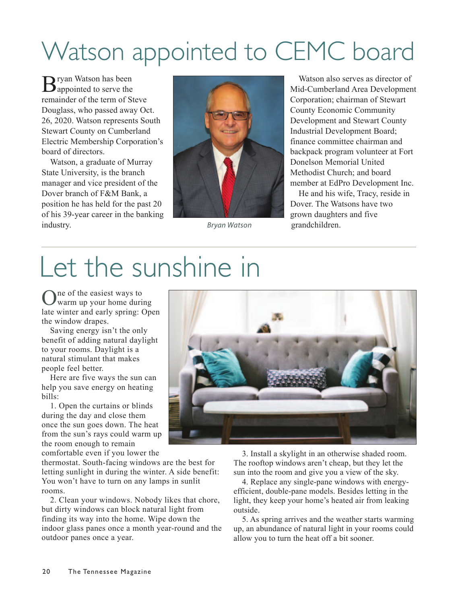# Watson appointed to CEMC board

**T**ryan Watson has been  $\mathbf D$  appointed to serve the remainder of the term of Steve Douglass, who passed away Oct. 26, 2020. Watson represents South Stewart County on Cumberland Electric Membership Corporation's board of directors.

Watson, a graduate of Murray State University, is the branch manager and vice president of the Dover branch of F&M Bank, a position he has held for the past 20 of his 39-year career in the banking industry.



Watson also serves as director of Mid-Cumberland Area Development Corporation; chairman of Stewart County Economic Community Development and Stewart County Industrial Development Board; finance committee chairman and backpack program volunteer at Fort Donelson Memorial United Methodist Church; and board member at EdPro Development Inc.

He and his wife, Tracy, reside in Dover. The Watsons have two grown daughters and five *Bryan Watson* grandchildren.

# Let the sunshine in

One of the easiest ways to warm up your home during late winter and early spring: Open the window drapes.

Saving energy isn't the only benefit of adding natural daylight to your rooms. Daylight is a natural stimulant that makes people feel better.

Here are five ways the sun can help you save energy on heating bills:

1. Open the curtains or blinds during the day and close them once the sun goes down. The heat from the sun's rays could warm up the room enough to remain

comfortable even if you lower the

thermostat. South-facing windows are the best for letting sunlight in during the winter. A side benefit: You won't have to turn on any lamps in sunlit rooms.

2. Clean your windows. Nobody likes that chore, but dirty windows can block natural light from finding its way into the home. Wipe down the indoor glass panes once a month year-round and the outdoor panes once a year.

3. Install a skylight in an otherwise shaded room. The rooftop windows aren't cheap, but they let the sun into the room and give you a view of the sky.

4. Replace any single-pane windows with energyefficient, double-pane models. Besides letting in the light, they keep your home's heated air from leaking outside.

5. As spring arrives and the weather starts warming up, an abundance of natural light in your rooms could allow you to turn the heat off a bit sooner.

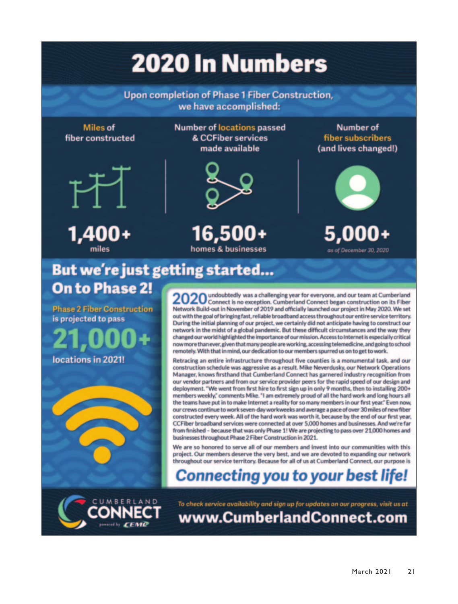# **2020 In Numbers**

**Upon completion of Phase 1 Fiber Construction,** we have accomplished:

**Miles of** fiber constructed



1,400+ miles

**Number of locations passed** & CCFiber services made available



16.500+ homes & businesses

Number of fiber subscribers (and lives changed!)



as of December 30, 2020

### But we're just getting started... **On to Phase 2!**

**Phase 2 Fiber Construction** is projected to pass



2020 undoubtedly was a challenging year for everyone, and our team at Cumberland<br>2020 Connect is no exception. Cumberland Connect began construction on its Fiber Network Build-out in November of 2019 and officially launched our project in May 2020. We set out with the goal of bringing fast, reliable broadband access throughout our entire service territory. During the initial planning of our project, we certainly did not anticipate having to construct our network in the midst of a global pandemic. But these difficult circumstances and the way they changed our world highlighted the importance of our mission. Access to Internet is especially critical now more than ever, given that many people are working, accessing telemedicine, and going to school remotely. With that in mind, our dedication to our members spurred us on to get to work.

Retracing an entire infrastructure throughout five counties is a monumental task, and our construction schedule was aggressive as a result. Mike Neverdusky, our Network Operations Manager, knows firsthand that Cumberland Connect has garnered industry recognition from our vendor partners and from our service provider peers for the rapid speed of our design and deployment. "We went from first hire to first sign up in only 9 months, then to installing 200+ members weekly," comments Mike. "I am extremely proud of all the hard work and long hours all the teams have put in to make Internet a reality for so many members in our first year." Even now, our crews continue to work seven-day workweeks and average a pace of over 30 miles of new fiber constructed every week. All of the hard work was worth it, because by the end of our first year, CCFiber broadband services were connected at over 5,000 homes and businesses. And we're far from finished - because that was only Phase 1! We are projecting to pass over 21,000 homes and businesses throughout Phase 2 Fiber Construction in 2021.

We are so honored to serve all of our members and invest into our communities with this project. Our members deserve the very best, and we are devoted to expanding our network throughout our service territory. Because for all of us at Cumberland Connect, our purpose is

### **Connecting you to your best life!**



To check service availability and sign up for updates on our progress, visit us at www.CumberlandConnect.com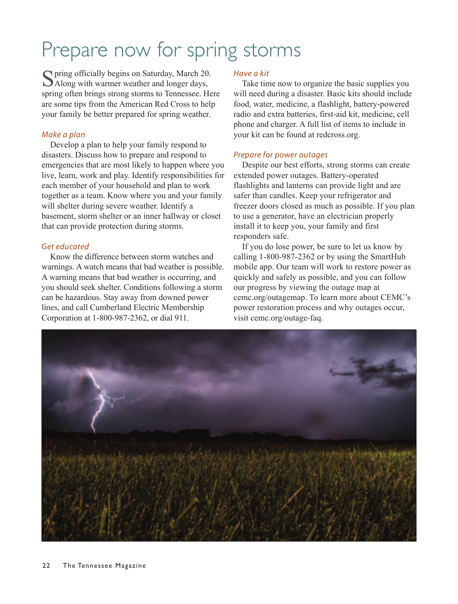# Prepare now for spring storms

Spring officially begins on Saturday, March 20.<br>
Along with warmer weather and longer days, spring often brings strong storms to Tennessee. Here are some tips from the American Red Cross to help your family be better prepared for spring weather.

### *Make a plan*

Develop a plan to help your family respond to disasters. Discuss how to prepare and respond to emergencies that are most likely to happen where you live, learn, work and play. Identify responsibilities for each member of your household and plan to work together as a team. Know where you and your family will shelter during severe weather. Identify a basement, storm shelter or an inner hallway or closet that can provide protection during storms.

### *Get educated*

Know the difference between storm watches and warnings. A watch means that bad weather is possible. A warning means that bad weather is occurring, and you should seek shelter. Conditions following a storm can be hazardous. Stay away from downed power lines, and call Cumberland Electric Membership Corporation at 1-800-987-2362, or dial 911.

### *Have a kit*

Take time now to organize the basic supplies you will need during a disaster. Basic kits should include food, water, medicine, a flashlight, battery-powered radio and extra batteries, first-aid kit, medicine, cell phone and charger. A full list of items to include in your kit can be found at redcross.org.

### *Prepare for power outages*

Despite our best efforts, strong storms can create extended power outages. Battery-operated flashlights and lanterns can provide light and are safer than candles. Keep your refrigerator and freezer doors closed as much as possible. If you plan to use a generator, have an electrician properly install it to keep you, your family and first responders safe.

If you do lose power, be sure to let us know by calling 1-800-987-2362 or by using the SmartHub mobile app. Our team will work to restore power as quickly and safely as possible, and you can follow our progress by viewing the outage map at cemc.org/outagemap. To learn more about CEMC's power restoration process and why outages occur, visit cemc.org/outage-faq.

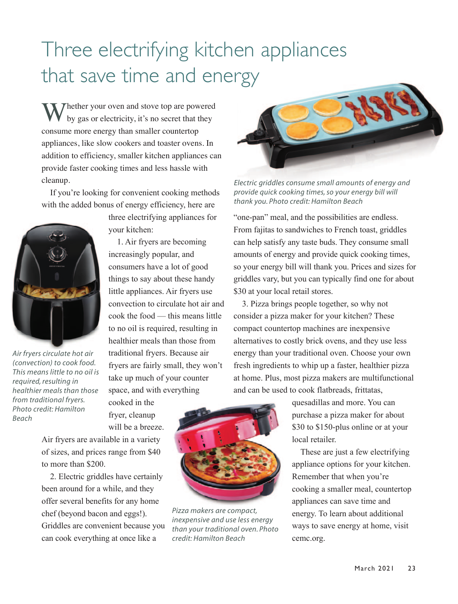# Three electrifying kitchen appliances that save time and energy

 $\sqrt{\ }$  Thether your oven and stove top are powered by gas or electricity, it's no secret that they consume more energy than smaller countertop appliances, like slow cookers and toaster ovens. In addition to efficiency, smaller kitchen appliances can provide faster cooking times and less hassle with cleanup.

If you're looking for convenient cooking methods with the added bonus of energy efficiency, here are



*Air fryers circulate hot air (convection) to cook food. This means little to no oil is required, resulting in healthier meals than those from traditional fryers. Photo credit: Hamilton Beach*

three electrifying appliances for your kitchen:

1. Air fryers are becoming increasingly popular, and consumers have a lot of good things to say about these handy little appliances. Air fryers use convection to circulate hot air and cook the food — this means little to no oil is required, resulting in healthier meals than those from traditional fryers. Because air fryers are fairly small, they won't take up much of your counter space, and with everything

cooked in the fryer, cleanup will be a breeze.

Air fryers are available in a variety of sizes, and prices range from \$40 to more than \$200.

2. Electric griddles have certainly been around for a while, and they offer several benefits for any home chef (beyond bacon and eggs!). Griddles are convenient because you can cook everything at once like a



*Electric griddles consume small amounts of energy and provide quick cooking times, so your energy bill will thank you. Photo credit: Hamilton Beach*

"one-pan" meal, and the possibilities are endless. From fajitas to sandwiches to French toast, griddles can help satisfy any taste buds. They consume small amounts of energy and provide quick cooking times, so your energy bill will thank you. Prices and sizes for griddles vary, but you can typically find one for about \$30 at your local retail stores.

3. Pizza brings people together, so why not consider a pizza maker for your kitchen? These compact countertop machines are inexpensive alternatives to costly brick ovens, and they use less energy than your traditional oven. Choose your own fresh ingredients to whip up a faster, healthier pizza at home. Plus, most pizza makers are multifunctional and can be used to cook flatbreads, frittatas,

> quesadillas and more. You can purchase a pizza maker for about \$30 to \$150-plus online or at your local retailer.

These are just a few electrifying appliance options for your kitchen. Remember that when you're cooking a smaller meal, countertop appliances can save time and energy. To learn about additional ways to save energy at home, visit cemc.org.



*Pizza makers are compact, inexpensive and use less energy than your traditional oven. Photo credit: Hamilton Beach*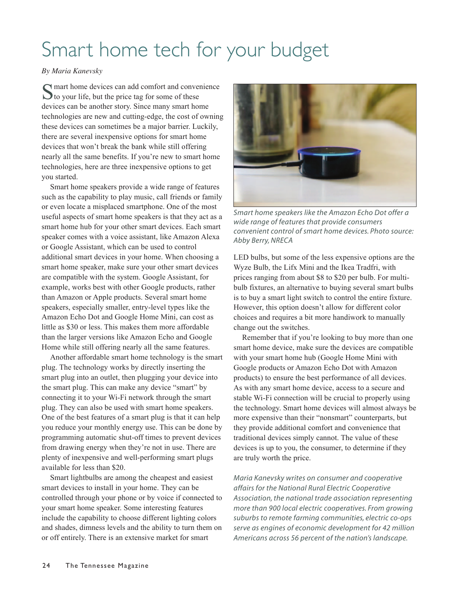# Smart home tech for your budget

### *By Maria Kanevsky*

 $\bigcap$  mart home devices can add comfort and convenience  $\bigcup$  to your life, but the price tag for some of these devices can be another story. Since many smart home technologies are new and cutting-edge, the cost of owning these devices can sometimes be a major barrier. Luckily, there are several inexpensive options for smart home devices that won't break the bank while still offering nearly all the same benefits. If you're new to smart home technologies, here are three inexpensive options to get you started.

Smart home speakers provide a wide range of features such as the capability to play music, call friends or family or even locate a misplaced smartphone. One of the most useful aspects of smart home speakers is that they act as a smart home hub for your other smart devices. Each smart speaker comes with a voice assistant, like Amazon Alexa or Google Assistant, which can be used to control additional smart devices in your home. When choosing a smart home speaker, make sure your other smart devices are compatible with the system. Google Assistant, for example, works best with other Google products, rather than Amazon or Apple products. Several smart home speakers, especially smaller, entry-level types like the Amazon Echo Dot and Google Home Mini, can cost as little as \$30 or less. This makes them more affordable than the larger versions like Amazon Echo and Google Home while still offering nearly all the same features.

Another affordable smart home technology is the smart plug. The technology works by directly inserting the smart plug into an outlet, then plugging your device into the smart plug. This can make any device "smart" by connecting it to your Wi-Fi network through the smart plug. They can also be used with smart home speakers. One of the best features of a smart plug is that it can help you reduce your monthly energy use. This can be done by programming automatic shut-off times to prevent devices from drawing energy when they're not in use. There are plenty of inexpensive and well-performing smart plugs available for less than \$20.

Smart lightbulbs are among the cheapest and easiest smart devices to install in your home. They can be controlled through your phone or by voice if connected to your smart home speaker. Some interesting features include the capability to choose different lighting colors and shades, dimness levels and the ability to turn them on or off entirely. There is an extensive market for smart



*Smart home speakers like the Amazon Echo Dot offer a wide range of features that provide consumers convenient control of smart home devices. Photo source: Abby Berry, NRECA*

LED bulbs, but some of the less expensive options are the Wyze Bulb, the Lifx Mini and the Ikea Tradfri, with prices ranging from about \$8 to \$20 per bulb. For multibulb fixtures, an alternative to buying several smart bulbs is to buy a smart light switch to control the entire fixture. However, this option doesn't allow for different color choices and requires a bit more handiwork to manually change out the switches.

Remember that if you're looking to buy more than one smart home device, make sure the devices are compatible with your smart home hub (Google Home Mini with Google products or Amazon Echo Dot with Amazon products) to ensure the best performance of all devices. As with any smart home device, access to a secure and stable Wi-Fi connection will be crucial to properly using the technology. Smart home devices will almost always be more expensive than their "nonsmart" counterparts, but they provide additional comfort and convenience that traditional devices simply cannot. The value of these devices is up to you, the consumer, to determine if they are truly worth the price.

*Maria Kanevsky writes on consumer and cooperative affairs for the National Rural Electric Cooperative Association, the national trade association representing more than 900 local electric cooperatives. From growing suburbs to remote farming communities, electric co-ops serve as engines of economic development for 42 million Americans across 56 percent of the nation's landscape.*